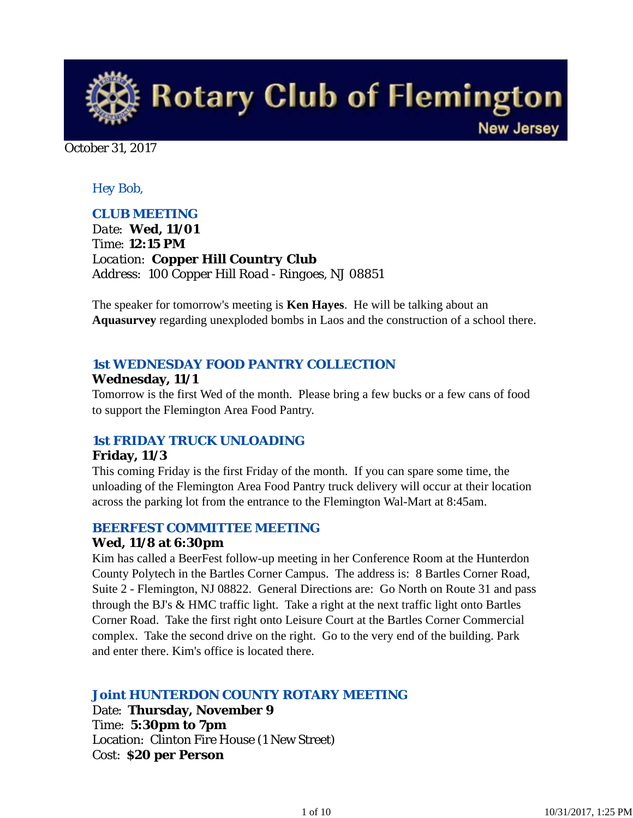

October 31, 2017

#### *Hey Bob,*

#### *CLUB MEETING*

*Date: Wed, 11/01 Time: 12:15 PM Location: Copper Hill Country Club Address: 100 Copper Hill Road - Ringoes, NJ 08851*

The speaker for tomorrow's meeting is **Ken Hayes**. He will be talking about an **Aquasurvey** regarding unexploded bombs in Laos and the construction of a school there.

#### *1st WEDNESDAY FOOD PANTRY COLLECTION*

#### **Wednesday, 11/1**

Tomorrow is the first Wed of the month. Please bring a few bucks or a few cans of food to support the Flemington Area Food Pantry.

### *1st FRIDAY TRUCK UNLOADING*

#### **Friday, 11/3**

This coming Friday is the first Friday of the month. If you can spare some time, the unloading of the Flemington Area Food Pantry truck delivery will occur at their location across the parking lot from the entrance to the Flemington Wal-Mart at 8:45am.

#### *BEERFEST COMMITTEE MEETING*

#### **Wed, 11/8 at 6:30pm**

Kim has called a BeerFest follow-up meeting in her Conference Room at the Hunterdon County Polytech in the Bartles Corner Campus. The address is: 8 Bartles Corner Road, Suite 2 - Flemington, NJ 08822. General Directions are: Go North on Route 31 and pass through the BJ's & HMC traffic light. Take a right at the next traffic light onto Bartles Corner Road. Take the first right onto Leisure Court at the Bartles Corner Commercial complex. Take the second drive on the right. Go to the very end of the building. Park and enter there. Kim's office is located there.

### *Joint HUNTERDON COUNTY ROTARY MEETING*

Date: **Thursday, November 9** Time: **5:30pm to 7pm** Location: Clinton Fire House (1 New Street) Cost: **\$20 per Person**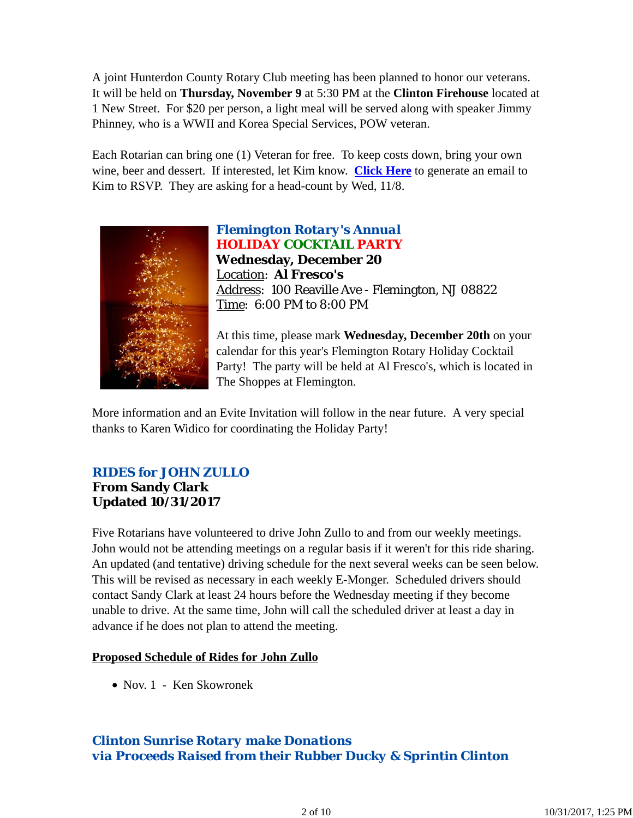A joint Hunterdon County Rotary Club meeting has been planned to honor our veterans. It will be held on **Thursday, November 9** at 5:30 PM at the **Clinton Firehouse** located at 1 New Street. For \$20 per person, a light meal will be served along with speaker Jimmy Phinney, who is a WWII and Korea Special Services, POW veteran.

Each Rotarian can bring one (1) Veteran for free. To keep costs down, bring your own wine, beer and dessert. If interested, let Kim know. **Click Here** to generate an email to Kim to RSVP. They are asking for a head-count by Wed, 11/8.



*Flemington Rotary's Annual HOLIDAY COCKTAIL PARTY* **Wednesday, December 20** Location: **Al Fresco's** Address: 100 Reaville Ave - Flemington, NJ 08822 Time: 6:00 PM to 8:00 PM

At this time, please mark **Wednesday, December 20th** on your calendar for this year's Flemington Rotary Holiday Cocktail Party! The party will be held at Al Fresco's, which is located in The Shoppes at Flemington.

More information and an Evite Invitation will follow in the near future. A very special thanks to Karen Widico for coordinating the Holiday Party!

### *RIDES for JOHN ZULLO* **From Sandy Clark Updated 10/31/2017**

Five Rotarians have volunteered to drive John Zullo to and from our weekly meetings. John would not be attending meetings on a regular basis if it weren't for this ride sharing. An updated (and tentative) driving schedule for the next several weeks can be seen below. This will be revised as necessary in each weekly E-Monger. Scheduled drivers should contact Sandy Clark at least 24 hours before the Wednesday meeting if they become unable to drive. At the same time, John will call the scheduled driver at least a day in advance if he does not plan to attend the meeting.

#### **Proposed Schedule of Rides for John Zullo**

Nov. 1 - Ken Skowronek

# *Clinton Sunrise Rotary make Donations via Proceeds Raised from their Rubber Ducky & Sprintin Clinton*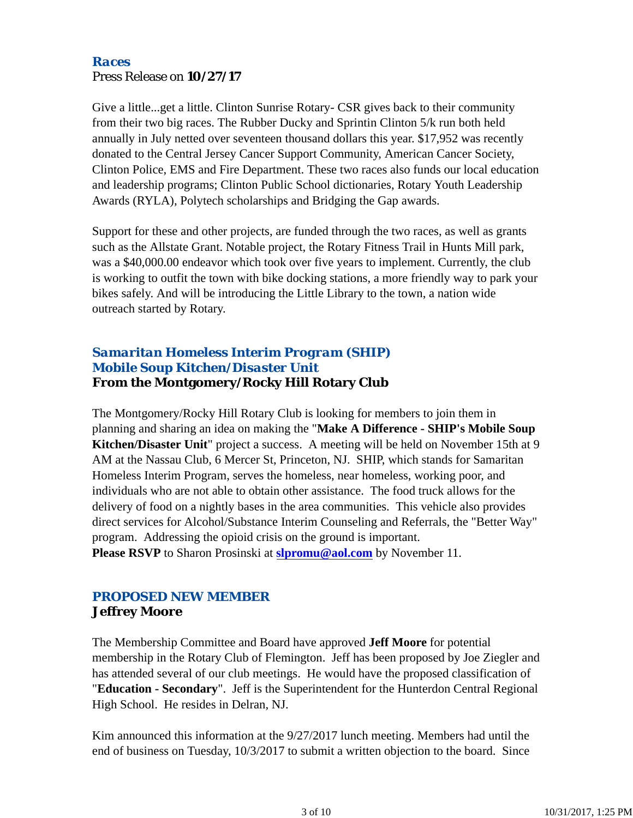#### *Races* Press Release on **10/27/17**

Give a little...get a little. Clinton Sunrise Rotary- CSR gives back to their community from their two big races. The Rubber Ducky and Sprintin Clinton 5/k run both held annually in July netted over seventeen thousand dollars this year. \$17,952 was recently donated to the Central Jersey Cancer Support Community, American Cancer Society, Clinton Police, EMS and Fire Department. These two races also funds our local education and leadership programs; Clinton Public School dictionaries, Rotary Youth Leadership Awards (RYLA), Polytech scholarships and Bridging the Gap awards.

Support for these and other projects, are funded through the two races, as well as grants such as the Allstate Grant. Notable project, the Rotary Fitness Trail in Hunts Mill park, was a \$40,000.00 endeavor which took over five years to implement. Currently, the club is working to outfit the town with bike docking stations, a more friendly way to park your bikes safely. And will be introducing the Little Library to the town, a nation wide outreach started by Rotary.

### *Samaritan Homeless Interim Program (SHIP) Mobile Soup Kitchen/Disaster Unit* **From the Montgomery/Rocky Hill Rotary Club**

The Montgomery/Rocky Hill Rotary Club is looking for members to join them in planning and sharing an idea on making the "**Make A Difference - SHIP's Mobile Soup Kitchen/Disaster Unit**" project a success. A meeting will be held on November 15th at 9 AM at the Nassau Club, 6 Mercer St, Princeton, NJ. SHIP, which stands for Samaritan Homeless Interim Program, serves the homeless, near homeless, working poor, and individuals who are not able to obtain other assistance. The food truck allows for the delivery of food on a nightly bases in the area communities. This vehicle also provides direct services for Alcohol/Substance Interim Counseling and Referrals, the "Better Way" program. Addressing the opioid crisis on the ground is important. **Please RSVP** to Sharon Prosinski at **slpromu@aol.com** by November 11.

### *PROPOSED NEW MEMBER* **Jeffrey Moore**

The Membership Committee and Board have approved **Jeff Moore** for potential membership in the Rotary Club of Flemington. Jeff has been proposed by Joe Ziegler and has attended several of our club meetings. He would have the proposed classification of "**Education - Secondary**". Jeff is the Superintendent for the Hunterdon Central Regional High School. He resides in Delran, NJ.

Kim announced this information at the 9/27/2017 lunch meeting. Members had until the end of business on Tuesday, 10/3/2017 to submit a written objection to the board. Since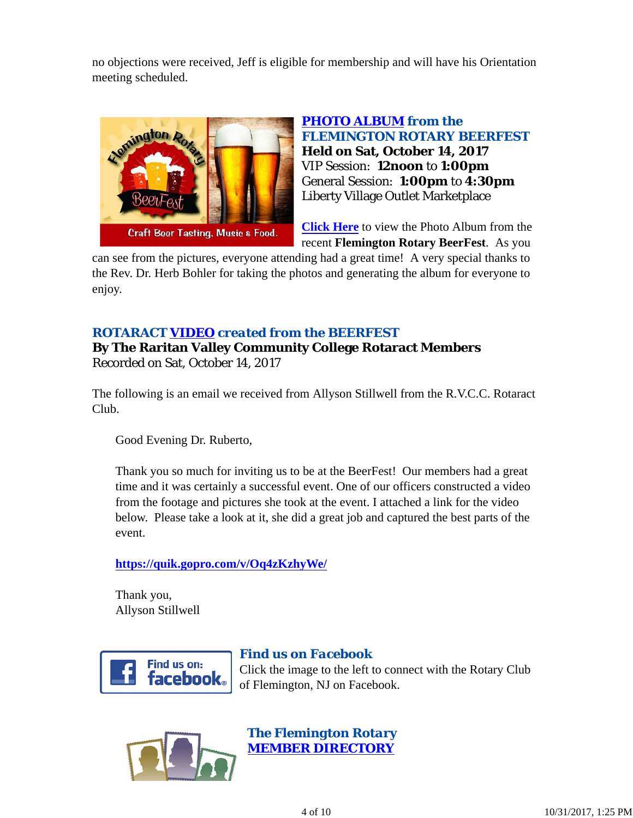no objections were received, Jeff is eligible for membership and will have his Orientation meeting scheduled.



*PHOTO ALBUM from the FLEMINGTON ROTARY BEERFEST* **Held on Sat, October 14, 2017** VIP Session: **12noon** to **1:00pm** General Session: **1:00pm** to **4:30pm** Liberty Village Outlet Marketplace

**Click Here** to view the Photo Album from the recent **Flemington Rotary BeerFest**. As you

can see from the pictures, everyone attending had a great time! A very special thanks to the Rev. Dr. Herb Bohler for taking the photos and generating the album for everyone to enjoy.

### *ROTARACT VIDEO created from the BEERFEST*

**By The Raritan Valley Community College Rotaract Members** Recorded on Sat, October 14, 2017

The following is an email we received from Allyson Stillwell from the R.V.C.C. Rotaract Club.

Good Evening Dr. Ruberto,

Thank you so much for inviting us to be at the BeerFest! Our members had a great time and it was certainly a successful event. One of our officers constructed a video from the footage and pictures she took at the event. I attached a link for the video below. Please take a look at it, she did a great job and captured the best parts of the event.

**https://quik.gopro.com/v/Oq4zKzhyWe/**

Thank you, Allyson Stillwell



## *Find us on Facebook*

Click the image to the left to connect with the Rotary Club of Flemington, NJ on Facebook.



*The Flemington Rotary MEMBER DIRECTORY*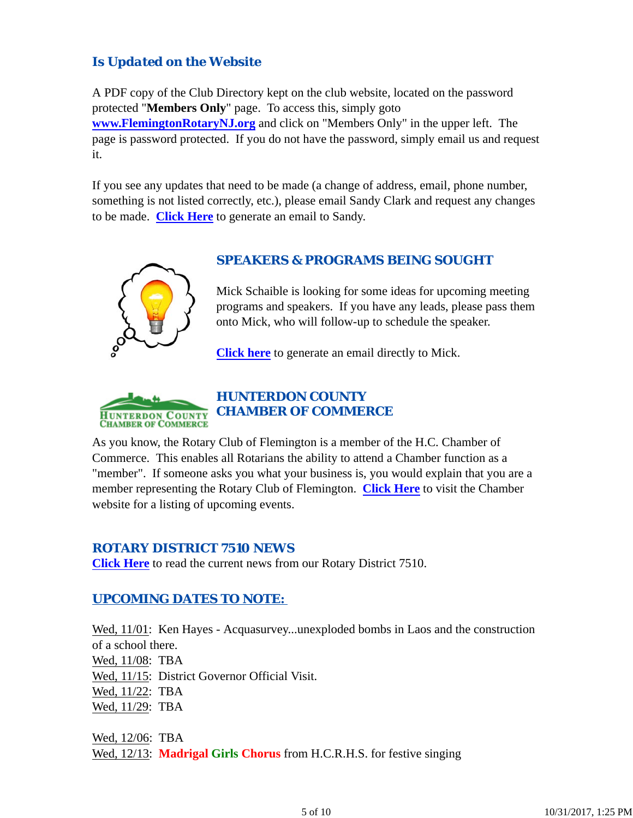## *Is Updated on the Website*

A PDF copy of the Club Directory kept on the club website, located on the password protected "**Members Only**" page. To access this, simply goto **www.FlemingtonRotaryNJ.org** and click on "Members Only" in the upper left. The page is password protected. If you do not have the password, simply email us and request it.

If you see any updates that need to be made (a change of address, email, phone number, something is not listed correctly, etc.), please email Sandy Clark and request any changes to be made. **Click Here** to generate an email to Sandy.



### *SPEAKERS & PROGRAMS BEING SOUGHT*

Mick Schaible is looking for some ideas for upcoming meeting programs and speakers. If you have any leads, please pass them onto Mick, who will follow-up to schedule the speaker.

**Click here** to generate an email directly to Mick.



### *HUNTERDON COUNTY CHAMBER OF COMMERCE*

As you know, the Rotary Club of Flemington is a member of the H.C. Chamber of Commerce. This enables all Rotarians the ability to attend a Chamber function as a "member". If someone asks you what your business is, you would explain that you are a member representing the Rotary Club of Flemington. **Click Here** to visit the Chamber website for a listing of upcoming events.

#### *ROTARY DISTRICT 7510 NEWS*

**Click Here** to read the current news from our Rotary District 7510.

### *UPCOMING DATES TO NOTE:*

Wed,  $11/01$ : Ken Hayes - Acquasurvey...unexploded bombs in Laos and the construction of a school there. Wed, 11/08: TBA Wed, 11/15: District Governor Official Visit. Wed, 11/22: TBA Wed, 11/29: TBA

Wed, 12/06: TBA Wed, 12/13: **Madrigal Girls Chorus** from H.C.R.H.S. for festive singing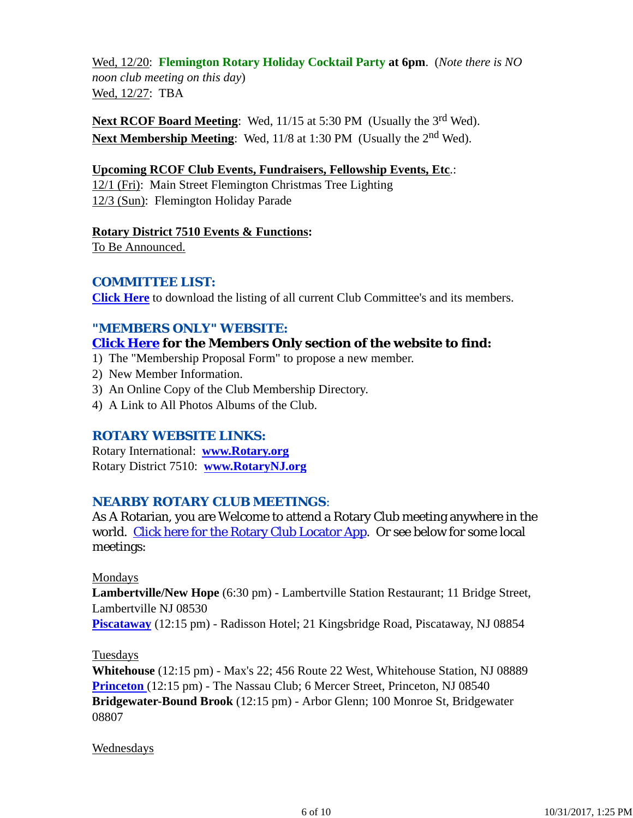Wed, 12/20: **Flemington Rotary Holiday Cocktail Party at 6pm**. (*Note there is NO noon club meeting on this day*) Wed, 12/27: TBA

**Next RCOF Board Meeting:** Wed, 11/15 at 5:30 PM (Usually the 3<sup>rd</sup> Wed). **Next Membership Meeting**: Wed, 11/8 at 1:30 PM (Usually the 2nd Wed).

#### **Upcoming RCOF Club Events, Fundraisers, Fellowship Events, Etc**.:

12/1 (Fri): Main Street Flemington Christmas Tree Lighting 12/3 (Sun): Flemington Holiday Parade

**Rotary District 7510 Events & Functions:**

To Be Announced.

#### *COMMITTEE LIST:*

**Click Here** to download the listing of all current Club Committee's and its members.

#### *"MEMBERS ONLY" WEBSITE:*

#### **Click Here for the Members Only section of the website to find:**

- 1) The "Membership Proposal Form" to propose a new member.
- 2) New Member Information.
- 3) An Online Copy of the Club Membership Directory.
- 4) A Link to All Photos Albums of the Club.

#### *ROTARY WEBSITE LINKS:*

Rotary International: **www.Rotary.org** Rotary District 7510: **www.RotaryNJ.org**

#### *NEARBY ROTARY CLUB MEETINGS:*

As A Rotarian, you are Welcome to attend a Rotary Club meeting anywhere in the world. Click here for the Rotary Club Locator App. Or see below for some local meetings:

#### Mondays

**Lambertville/New Hope** (6:30 pm) - Lambertville Station Restaurant; 11 Bridge Street, Lambertville NJ 08530

**Piscataway** (12:15 pm) - Radisson Hotel; 21 Kingsbridge Road, Piscataway, NJ 08854

#### Tuesdays

**Whitehouse** (12:15 pm) - Max's 22; 456 Route 22 West, Whitehouse Station, NJ 08889 **Princeton** (12:15 pm) - The Nassau Club; 6 Mercer Street, Princeton, NJ 08540 **Bridgewater-Bound Brook** (12:15 pm) - Arbor Glenn; 100 Monroe St, Bridgewater 08807

#### **Wednesdays**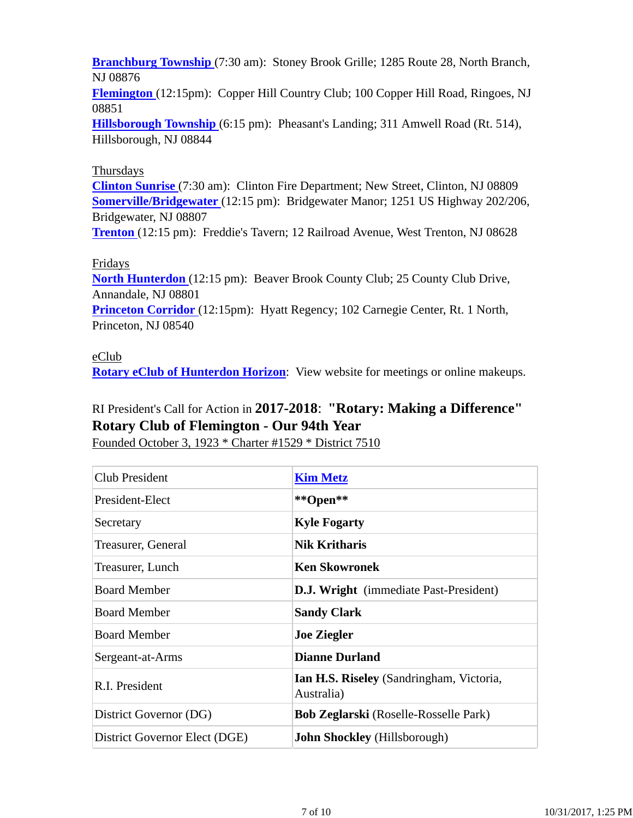**Branchburg Township** (7:30 am): Stoney Brook Grille; 1285 Route 28, North Branch, NJ 08876

**Flemington** (12:15pm): Copper Hill Country Club; 100 Copper Hill Road, Ringoes, NJ 08851

**Hillsborough Township** (6:15 pm): Pheasant's Landing; 311 Amwell Road (Rt. 514), Hillsborough, NJ 08844

#### Thursdays

**Clinton Sunrise** (7:30 am): Clinton Fire Department; New Street, Clinton, NJ 08809 **Somerville/Bridgewater** (12:15 pm): Bridgewater Manor; 1251 US Highway 202/206, Bridgewater, NJ 08807

**Trenton** (12:15 pm): Freddie's Tavern; 12 Railroad Avenue, West Trenton, NJ 08628

### Fridays

**North Hunterdon** (12:15 pm): Beaver Brook County Club; 25 County Club Drive, Annandale, NJ 08801 **Princeton Corridor** (12:15pm): Hyatt Regency; 102 Carnegie Center, Rt. 1 North, Princeton, NJ 08540

#### eClub

**Rotary eClub of Hunterdon Horizon**: View website for meetings or online makeups.

# RI President's Call for Action in **2017-2018**: **"Rotary: Making a Difference" Rotary Club of Flemington - Our 94th Year**

Founded October 3, 1923 \* Charter #1529 \* District 7510

| <b>Club President</b>         | <b>Kim Metz</b>                                               |  |
|-------------------------------|---------------------------------------------------------------|--|
| President-Elect               | **Open**                                                      |  |
| Secretary                     | <b>Kyle Fogarty</b>                                           |  |
| Treasurer, General            | <b>Nik Kritharis</b>                                          |  |
| Treasurer, Lunch              | <b>Ken Skowronek</b>                                          |  |
| <b>Board Member</b>           | <b>D.J. Wright</b> (immediate Past-President)                 |  |
| <b>Board Member</b>           | <b>Sandy Clark</b>                                            |  |
| <b>Board Member</b>           | <b>Joe Ziegler</b>                                            |  |
| Sergeant-at-Arms              | <b>Dianne Durland</b>                                         |  |
| R.I. President                | <b>Ian H.S. Riseley</b> (Sandringham, Victoria,<br>Australia) |  |
| District Governor (DG)        | <b>Bob Zeglarski</b> (Roselle-Rosselle Park)                  |  |
| District Governor Elect (DGE) | <b>John Shockley</b> (Hillsborough)                           |  |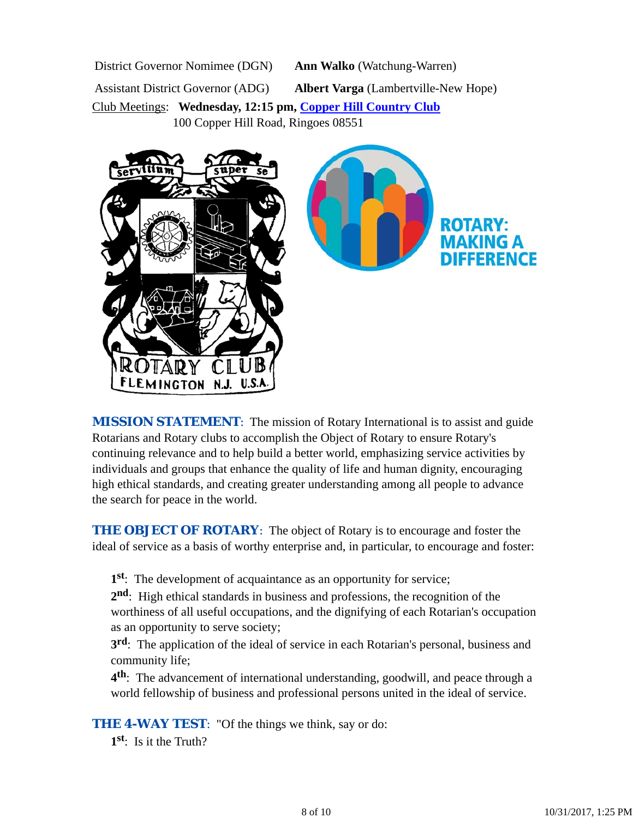District Governor Nomimee (DGN) **Ann Walko** (Watchung-Warren)

Assistant District Governor (ADG) **Albert Varga** (Lambertville-New Hope)

Club Meetings: **Wednesday, 12:15 pm, Copper Hill Country Club** 100 Copper Hill Road, Ringoes 08551



*MISSION STATEMENT*: The mission of Rotary International is to assist and guide Rotarians and Rotary clubs to accomplish the Object of Rotary to ensure Rotary's continuing relevance and to help build a better world, emphasizing service activities by individuals and groups that enhance the quality of life and human dignity, encouraging high ethical standards, and creating greater understanding among all people to advance the search for peace in the world.

**THE OBJECT OF ROTARY:** The object of Rotary is to encourage and foster the ideal of service as a basis of worthy enterprise and, in particular, to encourage and foster:

**1st**: The development of acquaintance as an opportunity for service;

**2nd**: High ethical standards in business and professions, the recognition of the worthiness of all useful occupations, and the dignifying of each Rotarian's occupation as an opportunity to serve society;

**3rd**: The application of the ideal of service in each Rotarian's personal, business and community life;

**4th**: The advancement of international understanding, goodwill, and peace through a world fellowship of business and professional persons united in the ideal of service.

**THE 4-WAY TEST:** "Of the things we think, say or do:

**1st**: Is it the Truth?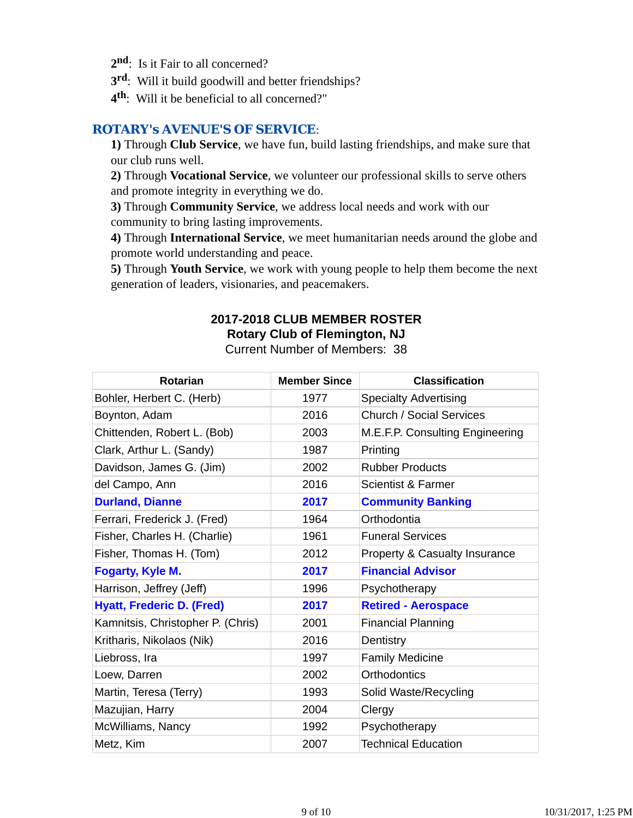- 2<sup>nd</sup>: Is it Fair to all concerned?
- **3rd**: Will it build goodwill and better friendships?
- **4th**: Will it be beneficial to all concerned?"

#### *ROTARY's AVENUE'S OF SERVICE*:

**1)** Through **Club Service**, we have fun, build lasting friendships, and make sure that our club runs well.

**2)** Through **Vocational Service**, we volunteer our professional skills to serve others and promote integrity in everything we do.

**3)** Through **Community Service**, we address local needs and work with our community to bring lasting improvements.

**4)** Through **International Service**, we meet humanitarian needs around the globe and promote world understanding and peace.

**5)** Through **Youth Service**, we work with young people to help them become the next generation of leaders, visionaries, and peacemakers.

## **2017-2018 CLUB MEMBER ROSTER Rotary Club of Flemington, NJ**

Current Number of Members: 38

| <b>Rotarian</b>                   | <b>Member Since</b> | <b>Classification</b>           |
|-----------------------------------|---------------------|---------------------------------|
| Bohler, Herbert C. (Herb)         | 1977                | <b>Specialty Advertising</b>    |
| Boynton, Adam                     | 2016                | Church / Social Services        |
| Chittenden, Robert L. (Bob)       | 2003                | M.E.F.P. Consulting Engineering |
| Clark, Arthur L. (Sandy)          | 1987                | Printing                        |
| Davidson, James G. (Jim)          | 2002                | <b>Rubber Products</b>          |
| del Campo, Ann                    | 2016                | Scientist & Farmer              |
| <b>Durland, Dianne</b>            | 2017                | <b>Community Banking</b>        |
| Ferrari, Frederick J. (Fred)      | 1964                | Orthodontia                     |
| Fisher, Charles H. (Charlie)      | 1961                | <b>Funeral Services</b>         |
| Fisher, Thomas H. (Tom)           | 2012                | Property & Casualty Insurance   |
| <b>Fogarty, Kyle M.</b>           | 2017                | <b>Financial Advisor</b>        |
| Harrison, Jeffrey (Jeff)          | 1996                | Psychotherapy                   |
| <b>Hyatt, Frederic D. (Fred)</b>  | 2017                | <b>Retired - Aerospace</b>      |
| Kamnitsis, Christopher P. (Chris) | 2001                | <b>Financial Planning</b>       |
| Kritharis, Nikolaos (Nik)         | 2016                | Dentistry                       |
| Liebross, Ira                     | 1997                | <b>Family Medicine</b>          |
| Loew, Darren                      | 2002                | <b>Orthodontics</b>             |
| Martin, Teresa (Terry)            | 1993                | Solid Waste/Recycling           |
| Mazujian, Harry                   | 2004                | Clergy                          |
| McWilliams, Nancy                 | 1992                | Psychotherapy                   |
| Metz, Kim                         | 2007                | <b>Technical Education</b>      |